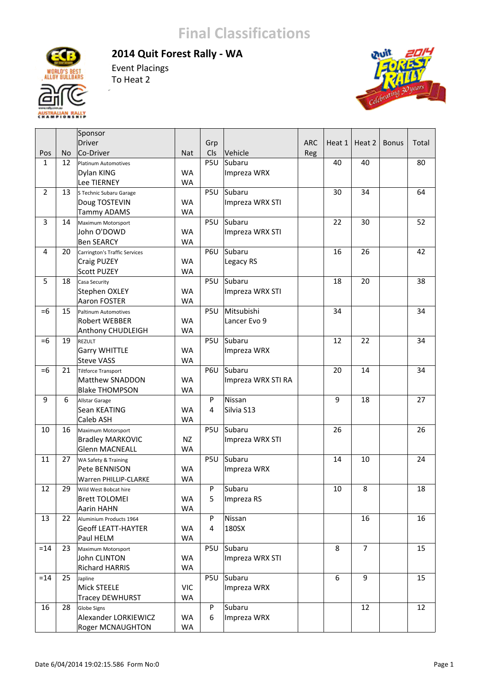## **Final Classifications**

**2014 Quit Forest Rally ‐ WA**



Event Placings To Heat 2

J.



|                |           | Sponsor                              |            |     |                    |            |        |                |              |       |
|----------------|-----------|--------------------------------------|------------|-----|--------------------|------------|--------|----------------|--------------|-------|
|                |           | Driver                               |            | Grp |                    | <b>ARC</b> | Heat 1 | Heat 2         | <b>Bonus</b> | Total |
| Pos            | <b>No</b> | Co-Driver                            | <b>Nat</b> | Cls | Vehicle            | Reg        |        |                |              |       |
| $\mathbf{1}$   | 12        | <b>Platinum Automotives</b>          |            | P5U | Subaru             |            | 40     | 40             |              | 80    |
|                |           | Dylan KING                           | <b>WA</b>  |     | Impreza WRX        |            |        |                |              |       |
|                |           | Lee TIERNEY                          | <b>WA</b>  |     |                    |            |        |                |              |       |
| $\overline{2}$ | 13        | S Technic Subaru Garage              |            | P5U | Subaru             |            | 30     | 34             |              | 64    |
|                |           | Doug TOSTEVIN                        | <b>WA</b>  |     | Impreza WRX STI    |            |        |                |              |       |
|                |           | <b>Tammy ADAMS</b>                   | <b>WA</b>  |     |                    |            |        |                |              |       |
| $\overline{3}$ | 14        | Maximum Motorsport                   |            | P5U | Subaru             |            | 22     | 30             |              | 52    |
|                |           | John O'DOWD                          | <b>WA</b>  |     | Impreza WRX STI    |            |        |                |              |       |
|                |           | <b>Ben SEARCY</b>                    | <b>WA</b>  |     |                    |            |        |                |              |       |
| 4              | 20        | <b>Carrington's Traffic Services</b> |            | P6U | Subaru             |            | 16     | 26             |              | 42    |
|                |           | Craig PUZEY                          | <b>WA</b>  |     | Legacy RS          |            |        |                |              |       |
|                |           | <b>Scott PUZEY</b>                   | <b>WA</b>  |     |                    |            |        |                |              |       |
| 5              | 18        | Casa Security                        |            | P5U | Subaru             |            | 18     | 20             |              | 38    |
|                |           | Stephen OXLEY                        | <b>WA</b>  |     | Impreza WRX STI    |            |        |                |              |       |
|                |           | <b>Aaron FOSTER</b>                  | <b>WA</b>  |     |                    |            |        |                |              |       |
| $=6$           | 15        | <b>Paltinum Automotives</b>          |            | P5U | Mitsubishi         |            | 34     |                |              | 34    |
|                |           | <b>Robert WEBBER</b>                 | <b>WA</b>  |     | Lancer Evo 9       |            |        |                |              |       |
|                |           |                                      | <b>WA</b>  |     |                    |            |        |                |              |       |
| $=6$           | 19        | Anthony CHUDLEIGH                    |            |     | Subaru             |            | 12     | 22             |              | 34    |
|                |           | REZULT                               |            | P5U |                    |            |        |                |              |       |
|                |           | <b>Garry WHITTLE</b>                 | <b>WA</b>  |     | Impreza WRX        |            |        |                |              |       |
|                |           | <b>Steve VASS</b>                    | <b>WA</b>  |     |                    |            |        |                |              |       |
| $=6$           | 21        | Tiltforce Transport                  |            | P6U | Subaru             |            | 20     | 14             |              | 34    |
|                |           | Matthew SNADDON                      | <b>WA</b>  |     | Impreza WRX STI RA |            |        |                |              |       |
|                |           | <b>Blake THOMPSON</b>                | <b>WA</b>  |     |                    |            |        |                |              |       |
| 9              | 6         | Allstar Garage                       |            | P   | Nissan             |            | 9      | 18             |              | 27    |
|                |           | Sean KEATING                         | <b>WA</b>  | 4   | Silvia S13         |            |        |                |              |       |
|                |           | Caleb ASH                            | <b>WA</b>  |     |                    |            |        |                |              |       |
| 10             | 16        | Maximum Motorsport                   |            | P5U | Subaru             |            | 26     |                |              | 26    |
|                |           | <b>Bradley MARKOVIC</b>              | <b>NZ</b>  |     | Impreza WRX STI    |            |        |                |              |       |
|                |           | <b>Glenn MACNEALL</b>                | <b>WA</b>  |     |                    |            |        |                |              |       |
| 11             | 27        | WA Safety & Training                 |            | P5U | Subaru             |            | 14     | 10             |              | 24    |
|                |           | Pete BENNISON                        | <b>WA</b>  |     | Impreza WRX        |            |        |                |              |       |
|                |           | Warren PHILLIP-CLARKE                | <b>WA</b>  |     |                    |            |        |                |              |       |
| 12             | 29        | Wild West Bobcat hire                |            | P   | Subaru             |            | 10     | 8              |              | 18    |
|                |           | <b>Brett TOLOMEI</b>                 | WA         | 5   | Impreza RS         |            |        |                |              |       |
|                |           | Aarin HAHN                           | WA         |     |                    |            |        |                |              |       |
| 13             | 22        | Aluminium Products 1964              |            | P   | Nissan             |            |        | 16             |              | 16    |
|                |           | <b>Geoff LEATT-HAYTER</b>            | WA         | 4   | 180SX              |            |        |                |              |       |
|                |           | Paul HELM                            | WA         |     |                    |            |        |                |              |       |
| $=14$          | 23        | Maximum Motorsport                   |            | P5U | Subaru             |            | 8      | $\overline{7}$ |              | 15    |
|                |           | John CLINTON                         | <b>WA</b>  |     | Impreza WRX STI    |            |        |                |              |       |
|                |           | <b>Richard HARRIS</b>                | WA         |     |                    |            |        |                |              |       |
| $=14$          | 25        | Japline                              |            | P5U | Subaru             |            | 6      | 9              |              | 15    |
|                |           | Mick STEELE                          | <b>VIC</b> |     | Impreza WRX        |            |        |                |              |       |
|                |           | <b>Tracey DEWHURST</b>               | WA         |     |                    |            |        |                |              |       |
| 16             | 28        | Globe Signs                          |            | P   | Subaru             |            |        | 12             |              | 12    |
|                |           | Alexander LORKIEWICZ                 | WA         | 6   | Impreza WRX        |            |        |                |              |       |
|                |           | Roger MCNAUGHTON                     | WA         |     |                    |            |        |                |              |       |